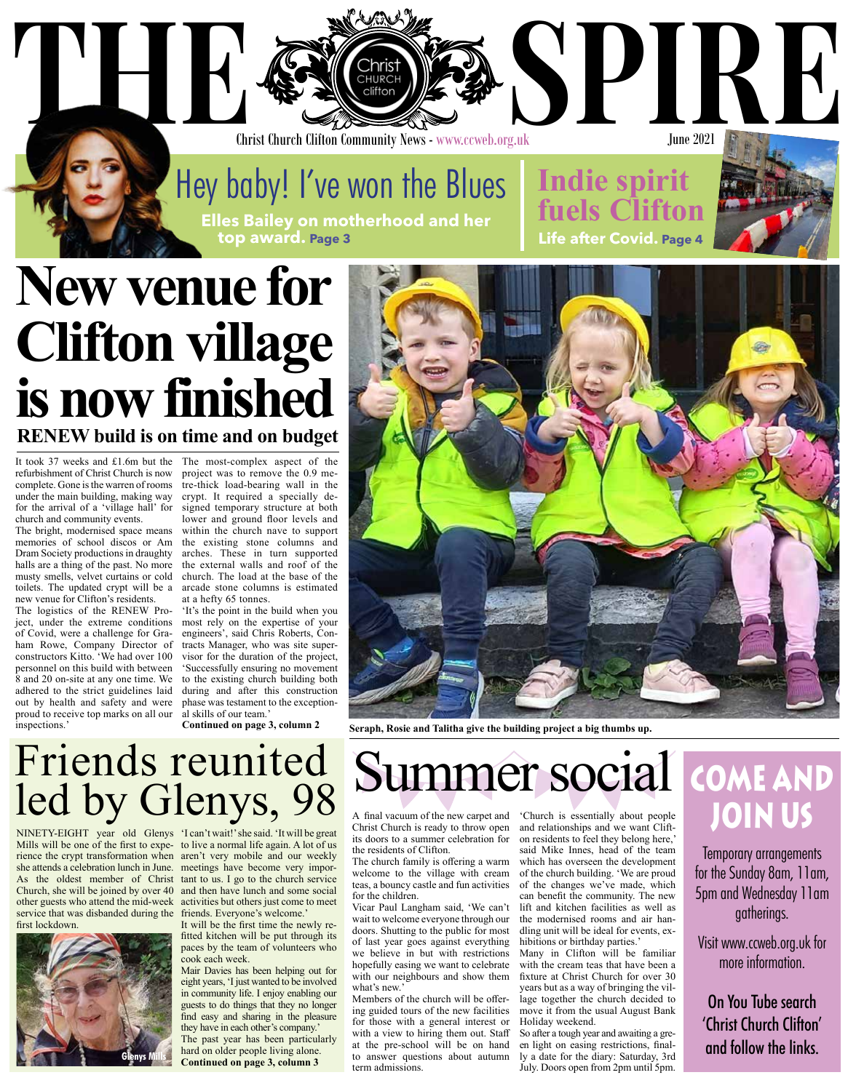### Christ Church Clifton Community News - www.ccweb.org.uk

THE SPIRE OF STREET OF STREET OF STREET

Hey baby! I've won the Blues **Elles Bailey on motherhood and her top award. Page 3**

## **New venue for Clifton village is now finished RENEW build is on time and on budget**

It took 37 weeks and £1.6m but the refurbishment of Christ Church is now complete. Gone is the warren of rooms under the main building, making way for the arrival of a 'village hall' for church and community events.

The bright, modernised space means memories of school discos or Am Dram Society productions in draughty halls are a thing of the past. No more musty smells, velvet curtains or cold toilets. The updated crypt will be a new venue for Clifton's residents.

The logistics of the RENEW Project, under the extreme conditions most rely on the expertise of your of Covid, were a challenge for Graham Rowe, Company Director of constructors Kitto. 'We had over 100 personnel on this build with between 8 and 20 on-site at any one time. We adhered to the strict guidelines laid out by health and safety and were proud to receive top marks on all our inspections.<sup>9</sup>

The most-complex aspect of the project was to remove the 0.9 metre-thick load-bearing wall in the crypt. It required a specially designed temporary structure at both lower and ground floor levels and within the church nave to support the existing stone columns and arches. These in turn supported the external walls and roof of the church. The load at the base of the arcade stone columns is estimated at a hefty 65 tonnes.

'It's the point in the build when you engineers', said Chris Roberts, Contracts Manager, who was site supervisor for the duration of the project, 'Successfully ensuring no movement to the existing church building both during and after this construction phase was testament to the exceptional skills of our team.'

**Continued on page 3, column 2**



**Indie spirit** 

**Life after Covid. Page 4**

**fuels Clift** 

June 2021

**Seraph, Rosie and Talitha give the building project a big thumbs up.**

### Friends reunited led by Glenys, 98

NINETY-EIGHT year old Glenys 'I can't wait!' she said. 'It will be great Mills will be one of the first to expe-to live a normal life again. A lot of us rience the crypt transformation when aren't very mobile and our weekly she attends a celebration lunch in June. meetings have become very impor-As the oldest member of Christ tant to us. I go to the church service Church, she will be joined by over 40 and then have lunch and some social other guests who attend the mid-week activities but others just come to meet service that was disbanded during the friends. Everyone's welcome.' first lockdown.



It will be the first time the newly refitted kitchen will be put through its paces by the team of volunteers who cook each week.

Mair Davies has been helping out for eight years, 'I just wanted to be involved in community life. I enjoy enabling our guests to do things that they no longer find easy and sharing in the pleasure they have in each other's company.' The past year has been particularly hard on older people living alone. **Continued on page 3, column 3**

# Summer social

A final vacuum of the new carpet and Christ Church is ready to throw open its doors to a summer celebration for the residents of Clifton.

The church family is offering a warm welcome to the village with cream teas, a bouncy castle and fun activities for the children.

Vicar Paul Langham said, 'We can't wait to welcome everyone through our doors. Shutting to the public for most of last year goes against everything we believe in but with restrictions hopefully easing we want to celebrate with our neighbours and show them what's new.'

Members of the church will be offering guided tours of the new facilities for those with a general interest or with a view to hiring them out. Staff at the pre-school will be on hand to answer questions about autumn term admissions.

'Church is essentially about people and relationships and we want Clifton residents to feel they belong here,' said Mike Innes, head of the team which has overseen the development of the church building. 'We are proud of the changes we've made, which can benefit the community. The new lift and kitchen facilities as well as the modernised rooms and air handling unit will be ideal for events, exhibitions or birthday parties.'

Many in Clifton will be familiar with the cream teas that have been a fixture at Christ Church for over 30 years but as a way of bringing the village together the church decided to move it from the usual August Bank Holiday weekend.

So after a tough year and awaiting a green light on easing restrictions, finally a date for the diary: Saturday, 3rd July. Doors open from 2pm until 5pm.

### **COME AND JOIN US**

Temporary arrangements for the Sunday 8am, 11am, 5pm and Wednesday 11am gatherings.

Visit www.ccweb.org.uk for more information.

On You Tube search 'Christ Church Clifton' and follow the links.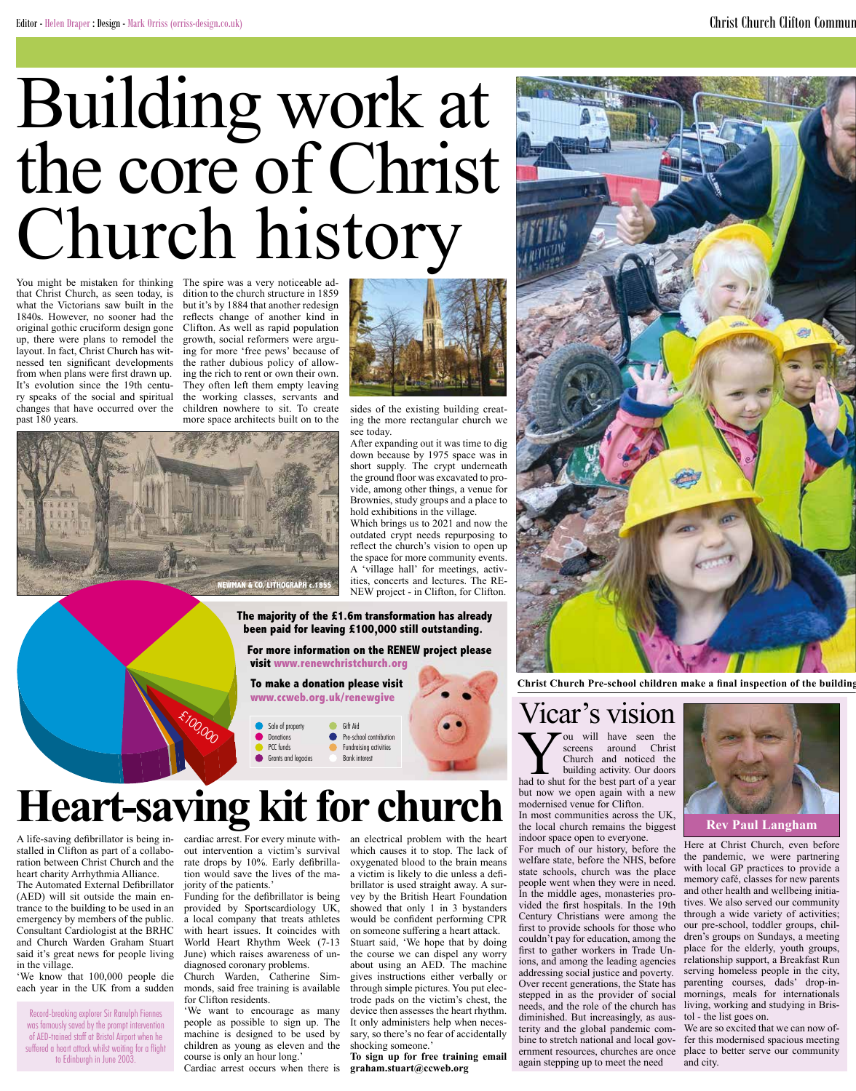# Building work at the core of Christ Church history

You might be mistaken for thinking that Christ Church, as seen today, is what the Victorians saw built in the 1840s. However, no sooner had the original gothic cruciform design gone up, there were plans to remodel the layout. In fact, Christ Church has witnessed ten significant developments from when plans were first drawn up. It's evolution since the 19th century speaks of the social and spiritual changes that have occurred over the past 180 years.

The spire was a very noticeable addition to the church structure in 1859 but it's by 1884 that another redesign reflects change of another kind in Clifton. As well as rapid population growth, social reformers were arguing for more 'free pews' because of the rather dubious policy of allowing the rich to rent or own their own. They often left them empty leaving the working classes, servants and children nowhere to sit. To create more space architects built on to the



sides of the existing building creating the more rectangular church we see today.

After expanding out it was time to dig down because by 1975 space was in short supply. The crypt underneath the ground floor was excavated to provide, among other things, a venue for Brownies, study groups and a place to hold exhibitions in the village.

Which brings us to 2021 and now the outdated crypt needs repurposing to reflect the church's vision to open up the space for more community events. A 'village hall' for meetings, activities, concerts and lectures. The RE-NEW project - in Clifton, for Clifton.

#### **The majority of the £1.6m transformation has already been paid for leaving £100,000 still outstanding.**

 **For more information on the RENEW project please visit www.renewchristchurch.org** 

 **To make a donation please visit www.ccweb.org.uk/renewgive**

#### Sale of prop **Donations** PCC funds Grants and legacies Gift Aid Pre-school contribution Fundraising activities Bank interest

# **Heart-saving kit for church**

**£100,000** 

**NEWMAN & CO. LITHOGRAPH c.1855**

A life-saving defibrillator is being installed in Clifton as part of a collaboration between Christ Church and the heart charity Arrhythmia Alliance.

The Automated External Defibrillator (AED) will sit outside the main entrance to the building to be used in an emergency by members of the public. Consultant Cardiologist at the BRHC and Church Warden Graham Stuart said it's great news for people living in the village.

'We know that 100,000 people die each year in the UK from a sudden

Record-breaking explorer Sir Ranulph Fiennes was famously saved by the prompt intervention of AED-trained staff at Bristol Airport when he suffered a heart attack whilst waiting for a flight to Edinburgh in June 2003.

cardiac arrest. For every minute without intervention a victim's survival rate drops by 10%. Early defibrillation would save the lives of the majority of the patients.'

Funding for the defibrillator is being provided by Sportscardiology UK, a local company that treats athletes with heart issues. It coincides with World Heart Rhythm Week (7-13 June) which raises awareness of undiagnosed coronary problems.

Church Warden, Catherine Simmonds, said free training is available for Clifton residents.

'We want to encourage as many people as possible to sign up. The machine is designed to be used by children as young as eleven and the course is only an hour long.'

Cardiac arrest occurs when there is

an electrical problem with the heart which causes it to stop. The lack of oxygenated blood to the brain means a victim is likely to die unless a defibrillator is used straight away. A survey by the British Heart Foundation showed that only 1 in 3 bystanders would be confident performing CPR on someone suffering a heart attack. Stuart said, 'We hope that by doing the course we can dispel any worry about using an AED. The machine gives instructions either verbally or through simple pictures. You put electrode pads on the victim's chest, the device then assesses the heart rhythm. It only administers help when necessary, so there's no fear of accidentally shocking someone.'

**To sign up for free training email graham.stuart@ccweb.org**



Christ Church Pre-school children make a final inspection of the building

## Vicar's vision

Vou will have seen the<br>Sereens around Christ<br>Church and noticed the<br>building activity. Our doors<br>had to shut for the best part of a year screens around Christ Church and noticed the building activity. Our doors had to shut for the best part of a year but now we open again with a new modernised venue for Clifton.

In most communities across the UK, the local church remains the biggest indoor space open to everyone.

For much of our history, before the welfare state, before the NHS, before state schools, church was the place people went when they were in need. In the middle ages, monasteries provided the first hospitals. In the 19th Century Christians were among the first to provide schools for those who couldn't pay for education, among the first to gather workers in Trade Unions, and among the leading agencies addressing social justice and poverty. Over recent generations, the State has stepped in as the provider of social needs, and the role of the church has diminished. But increasingly, as austerity and the global pandemic combine to stretch national and local government resources, churches are once again stepping up to meet the need





Here at Christ Church, even before the pandemic, we were partnering with local GP practices to provide a memory café, classes for new parents and other health and wellbeing initiatives. We also served our community through a wide variety of activities; our pre-school, toddler groups, children's groups on Sundays, a meeting place for the elderly, youth groups, relationship support, a Breakfast Run serving homeless people in the city, parenting courses, dads' drop-inmornings, meals for internationals living, working and studying in Bristol - the list goes on.

We are so excited that we can now offer this modernised spacious meeting place to better serve our community and city.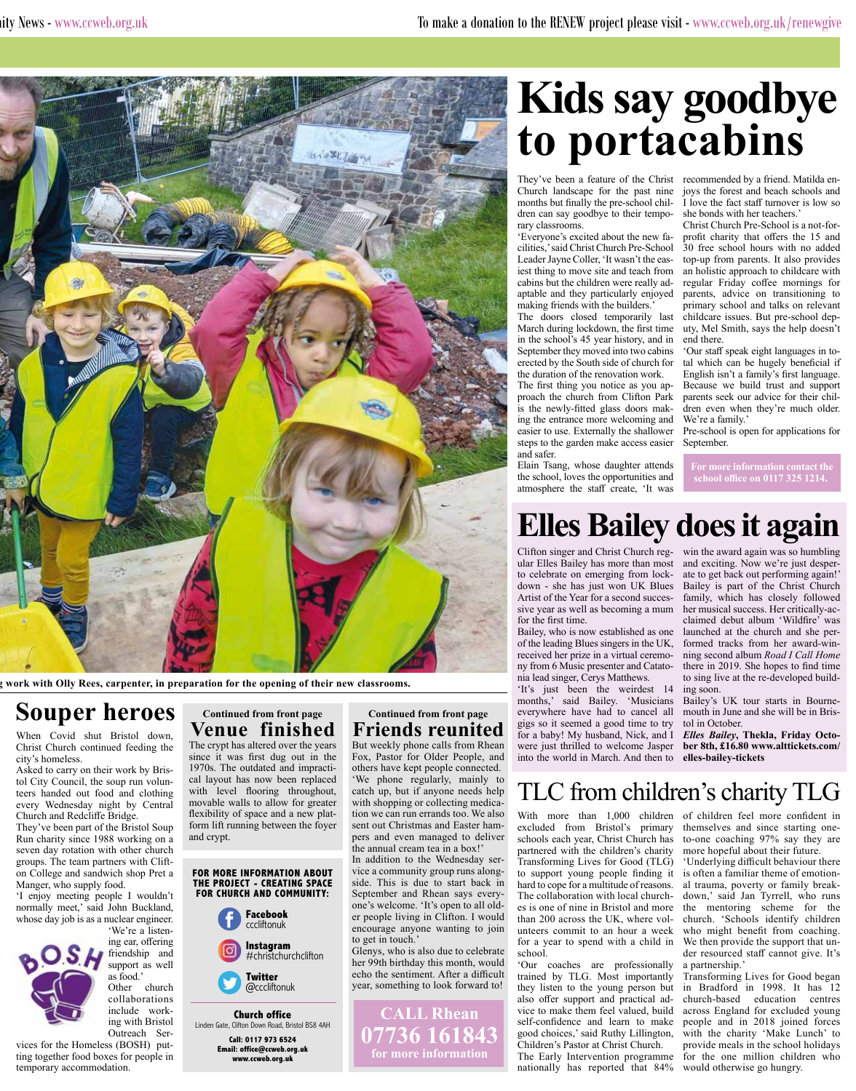

work with Olly Rees, carpenter, in preparation for the opening of their new classrooms.

### **Souper heroes**

When Covid shut Bristol down, Christ Church continued feeding the city's homeless.

Asked to carry on their work by Bristol City Council, the soup run volunteers handed out food and clothing every Wednesday night by Central Church and Redcliffe Bridge.

They've been part of the Bristol Soup Run charity since 1988 working on a seven day rotation with other church groups. The team partners with Clifton College and sandwich shop Pret a Manger, who supply food.

'I enjoy meeting people I wouldn't normally meet,' said John Buckland, whose day job is as a nuclear engineer. 'We're a listen-



as food.' Other church collaborations include working with Bristol Outreach Ser-

ing ear, offering friendship and support as well

vices for the Homeless (BOSH) putting together food boxes for people in temporary accommodation.

### **Continued from front page Venue finished**

The crypt has altered over the years since it was first dug out in the 1970s. The outdated and impractical layout has now been replaced with level flooring throughout, movable walls to allow for greater flexibility of space and a new platform lift running between the foyer and crypt.

#### **FOR MORE INFORMATION ABOUT THE PROJECT - CREATING SPACE FOR CHURCH AND COMMUNITY:**



**Church office** Linden Gate, Clifton Down Road, Bristol BS8 4AH **Call: 0117 973 6524 Email: office@ccweb.org.uk www.ccweb.org.uk**

### **Continued from front page Friends reunited**

But weekly phone calls from Rhean Fox, Pastor for Older People, and others have kept people connected. 'We phone regularly, mainly to catch up, but if anyone needs help with shopping or collecting medication we can run errands too. We also sent out Christmas and Easter hampers and even managed to deliver the annual cream tea in a box!'

In addition to the Wednesday service a community group runs alongside. This is due to start back in September and Rhean says everyone's welcome. 'It's open to all older people living in Clifton. I would encourage anyone wanting to join to get in touch.'

Glenys, who is also due to celebrate her 99th birthday this month, would echo the sentiment. After a difficult year, something to look forward to!

**CALL Rhean** 

**07736 161843 for more information**

# **Kids say goodbye to portacabins**

They've been a feature of the Christ recommended by a friend. Matilda en-Church landscape for the past nine months but finally the pre-school children can say goodbye to their temporary classrooms.

'Everyone's excited about the new facilities,' said Christ Church Pre-School Leader Jayne Coller, 'It wasn't the easiest thing to move site and teach from cabins but the children were really adaptable and they particularly enjoyed making friends with the builders.'

The doors closed temporarily last March during lockdown, the first time in the school's 45 year history, and in September they moved into two cabins erected by the South side of church for the duration of the renovation work.

The first thing you notice as you approach the church from Clifton Park is the newly-fitted glass doors making the entrance more welcoming and easier to use. Externally the shallower steps to the garden make access easier and safer.

Elain Tsang, whose daughter attends the school, loves the opportunities and atmosphere the staff create, 'It was

joys the forest and beach schools and I love the fact staff turnover is low so she bonds with her teachers.'

Christ Church Pre-School is a not-forprofit charity that offers the 15 and 30 free school hours with no added top-up from parents. It also provides an holistic approach to childcare with regular Friday coffee mornings for parents, advice on transitioning to primary school and talks on relevant childcare issues. But pre-school deputy, Mel Smith, says the help doesn't end there.

'Our staff speak eight languages in total which can be hugely beneficial if English isn't a family's first language. Because we build trust and support parents seek our advice for their children even when they're much older. We're a family.'

Pre-school is open for applications for September.

**For more information contact the school office on 0117 325 1214.**

### **Elles Bailey does it again**

Clifton singer and Christ Church regular Elles Bailey has more than most to celebrate on emerging from lockdown - she has just won UK Blues Artist of the Year for a second successive year as well as becoming a mum for the first time.

Bailey, who is now established as one of the leading Blues singers in the UK, received her prize in a virtual ceremony from 6 Music presenter and Catatonia lead singer, Cerys Matthews.

'It's just been the weirdest 14 months,' said Bailey. 'Musicians everywhere have had to cancel all gigs so it seemed a good time to try for a baby! My husband, Nick, and I were just thrilled to welcome Jasper into the world in March. And then to

win the award again was so humbling and exciting. Now we're just desperate to get back out performing again!' Bailey is part of the Christ Church family, which has closely followed her musical success. Her critically-acclaimed debut album 'Wildfire' was launched at the church and she performed tracks from her award-winning second album *Road I Call Home* there in 2019. She hopes to find time to sing live at the re-developed building soon.

Bailey's UK tour starts in Bournemouth in June and she will be in Bristol in October.

*Elles Bailey***, Thekla, Friday October 8th, £16.80 www.alttickets.com/ elles-bailey-tickets**

### TLC from children's charity TLG

With more than 1,000 children of children feel more confident in excluded from Bristol's primary schools each year, Christ Church has partnered with the children's charity Transforming Lives for Good (TLG) to support young people finding it hard to cope for a multitude of reasons. The collaboration with local churches is one of nine in Bristol and more than 200 across the UK, where volunteers commit to an hour a week for a year to spend with a child in school.

'Our coaches are professionally trained by TLG. Most importantly they listen to the young person but also offer support and practical advice to make them feel valued, build self-confidence and learn to make good choices,' said Ruthy Lillington, Children's Pastor at Christ Church.

The Early Intervention programme nationally has reported that 84% would otherwise go hungry.

themselves and since starting oneto-one coaching 97% say they are more hopeful about their future.

'Underlying difficult behaviour there is often a familiar theme of emotional trauma, poverty or family breakdown,' said Jan Tyrrell, who runs the mentoring scheme for the church. 'Schools identify children who might benefit from coaching. We then provide the support that under resourced staff cannot give. It's a partnership.

Transforming Lives for Good began in Bradford in 1998. It has 12 church-based education centres across England for excluded young people and in 2018 joined forces with the charity 'Make Lunch' to provide meals in the school holidays for the one million children who